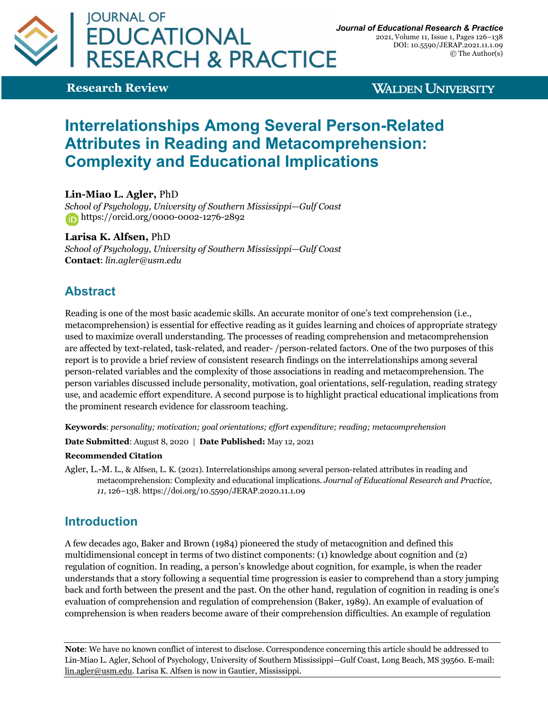

2021, Volume 11, Issue 1, Pages 126–138 DOI: 10.5590/JERAP.2021.11.1.09 © The Author(s)

**Research Review**

**WALDEN UNIVERSITY** 

# **Interrelationships Among Several Person-Related Attributes in Reading and Metacomprehension: Complexity and Educational Implications**

**Lin-Miao L. Agler,** PhD

*School of Psychology, University of Southern Mississippi—Gulf Coast* https://orcid.org/0000-0002-1276-2892

**Larisa K. Alfsen,** PhD

*School of Psychology, University of Southern Mississippi—Gulf Coast* **Contact**: *lin.agler@usm.edu*

## **Abstract**

Reading is one of the most basic academic skills. An accurate monitor of one's text comprehension (i.e., metacomprehension) is essential for effective reading as it guides learning and choices of appropriate strategy used to maximize overall understanding. The processes of reading comprehension and metacomprehension are affected by text-related, task-related, and reader- /person-related factors. One of the two purposes of this report is to provide a brief review of consistent research findings on the interrelationships among several person-related variables and the complexity of those associations in reading and metacomprehension. The person variables discussed include personality, motivation, goal orientations, self-regulation, reading strategy use, and academic effort expenditure. A second purpose is to highlight practical educational implications from the prominent research evidence for classroom teaching.

**Keywords**: *personality; motivation; goal orientations; effort expenditure; reading; metacomprehension*

**Date Submitted**: August 8, 2020 | **Date Published:** May 12, 2021

#### **Recommended Citation**

Agler, L.-M. L., & Alfsen, L. K. (2021). Interrelationships among several person-related attributes in reading and metacomprehension: Complexity and educational implications. *Journal of Educational Research and Practice, 11*, 126–138. https://doi.org/10.5590/JERAP.2020.11.1.09

### **Introduction**

A few decades ago, Baker and Brown (1984) pioneered the study of metacognition and defined this multidimensional concept in terms of two distinct components: (1) knowledge about cognition and (2) regulation of cognition. In reading, a person's knowledge about cognition, for example, is when the reader understands that a story following a sequential time progression is easier to comprehend than a story jumping back and forth between the present and the past. On the other hand, regulation of cognition in reading is one's evaluation of comprehension and regulation of comprehension (Baker, 1989). An example of evaluation of comprehension is when readers become aware of their comprehension difficulties. An example of regulation

**Note**: We have no known conflict of interest to disclose. Correspondence concerning this article should be addressed to Lin-Miao L. Agler, School of Psychology, University of Southern Mississippi—Gulf Coast, Long Beach, MS 39560. E-mail: lin.agler@usm.edu. Larisa K. Alfsen is now in Gautier, Mississippi.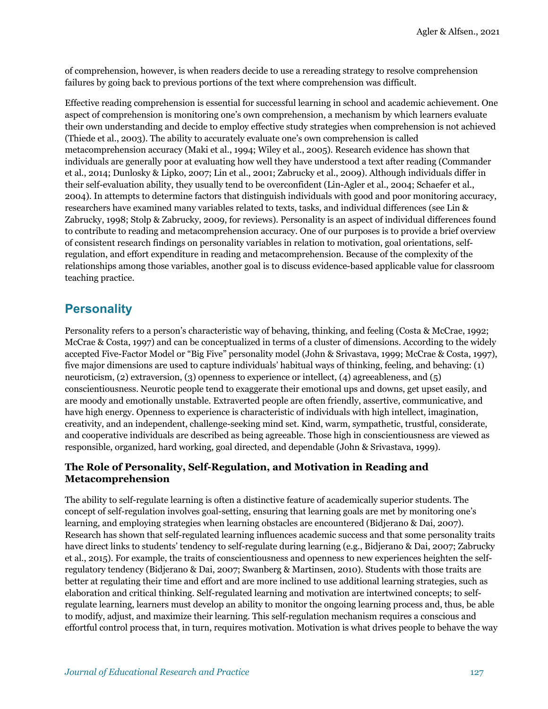of comprehension, however, is when readers decide to use a rereading strategy to resolve comprehension failures by going back to previous portions of the text where comprehension was difficult.

Effective reading comprehension is essential for successful learning in school and academic achievement. One aspect of comprehension is monitoring one's own comprehension, a mechanism by which learners evaluate their own understanding and decide to employ effective study strategies when comprehension is not achieved (Thiede et al., 2003). The ability to accurately evaluate one's own comprehension is called metacomprehension accuracy (Maki et al., 1994; Wiley et al., 2005). Research evidence has shown that individuals are generally poor at evaluating how well they have understood a text after reading (Commander et al., 2014; Dunlosky & Lipko, 2007; Lin et al., 2001; Zabrucky et al., 2009). Although individuals differ in their self-evaluation ability, they usually tend to be overconfident (Lin-Agler et al., 2004; Schaefer et al., 2004). In attempts to determine factors that distinguish individuals with good and poor monitoring accuracy, researchers have examined many variables related to texts, tasks, and individual differences (see Lin & Zabrucky, 1998; Stolp & Zabrucky, 2009, for reviews). Personality is an aspect of individual differences found to contribute to reading and metacomprehension accuracy. One of our purposes is to provide a brief overview of consistent research findings on personality variables in relation to motivation, goal orientations, selfregulation, and effort expenditure in reading and metacomprehension. Because of the complexity of the relationships among those variables, another goal is to discuss evidence-based applicable value for classroom teaching practice.

### **Personality**

Personality refers to a person's characteristic way of behaving, thinking, and feeling (Costa & McCrae, 1992; McCrae & Costa, 1997) and can be conceptualized in terms of a cluster of dimensions. According to the widely accepted Five-Factor Model or "Big Five" personality model (John & Srivastava, 1999; McCrae & Costa, 1997), five major dimensions are used to capture individuals' habitual ways of thinking, feeling, and behaving: (1) neuroticism, (2) extraversion, (3) openness to experience or intellect, (4) agreeableness, and (5) conscientiousness. Neurotic people tend to exaggerate their emotional ups and downs, get upset easily, and are moody and emotionally unstable. Extraverted people are often friendly, assertive, communicative, and have high energy. Openness to experience is characteristic of individuals with high intellect, imagination, creativity, and an independent, challenge-seeking mind set. Kind, warm, sympathetic, trustful, considerate, and cooperative individuals are described as being agreeable. Those high in conscientiousness are viewed as responsible, organized, hard working, goal directed, and dependable (John & Srivastava, 1999).

#### **The Role of Personality, Self-Regulation, and Motivation in Reading and Metacomprehension**

The ability to self-regulate learning is often a distinctive feature of academically superior students. The concept of self-regulation involves goal-setting, ensuring that learning goals are met by monitoring one's learning, and employing strategies when learning obstacles are encountered (Bidjerano & Dai, 2007). Research has shown that self-regulated learning influences academic success and that some personality traits have direct links to students' tendency to self-regulate during learning (e.g., Bidjerano & Dai, 2007; Zabrucky et al., 2015). For example, the traits of conscientiousness and openness to new experiences heighten the selfregulatory tendency (Bidjerano & Dai, 2007; Swanberg & Martinsen, 2010). Students with those traits are better at regulating their time and effort and are more inclined to use additional learning strategies, such as elaboration and critical thinking. Self-regulated learning and motivation are intertwined concepts; to selfregulate learning, learners must develop an ability to monitor the ongoing learning process and, thus, be able to modify, adjust, and maximize their learning. This self-regulation mechanism requires a conscious and effortful control process that, in turn, requires motivation. Motivation is what drives people to behave the way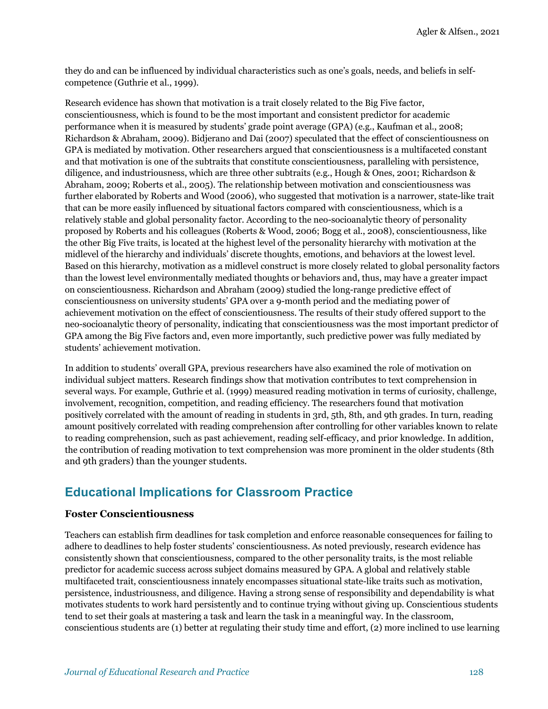they do and can be influenced by individual characteristics such as one's goals, needs, and beliefs in selfcompetence (Guthrie et al., 1999).

Research evidence has shown that motivation is a trait closely related to the Big Five factor, conscientiousness, which is found to be the most important and consistent predictor for academic performance when it is measured by students' grade point average (GPA) (e.g., Kaufman et al., 2008; Richardson & Abraham, 2009). Bidjerano and Dai (2007) speculated that the effect of conscientiousness on GPA is mediated by motivation. Other researchers argued that conscientiousness is a multifaceted constant and that motivation is one of the subtraits that constitute conscientiousness, paralleling with persistence, diligence, and industriousness, which are three other subtraits (e.g., Hough & Ones, 2001; Richardson & Abraham, 2009; Roberts et al., 2005). The relationship between motivation and conscientiousness was further elaborated by Roberts and Wood (2006), who suggested that motivation is a narrower, state-like trait that can be more easily influenced by situational factors compared with conscientiousness, which is a relatively stable and global personality factor. According to the neo-socioanalytic theory of personality proposed by Roberts and his colleagues (Roberts & Wood, 2006; Bogg et al., 2008), conscientiousness, like the other Big Five traits, is located at the highest level of the personality hierarchy with motivation at the midlevel of the hierarchy and individuals' discrete thoughts, emotions, and behaviors at the lowest level. Based on this hierarchy, motivation as a midlevel construct is more closely related to global personality factors than the lowest level environmentally mediated thoughts or behaviors and, thus, may have a greater impact on conscientiousness. Richardson and Abraham (2009) studied the long-range predictive effect of conscientiousness on university students' GPA over a 9-month period and the mediating power of achievement motivation on the effect of conscientiousness. The results of their study offered support to the neo-socioanalytic theory of personality, indicating that conscientiousness was the most important predictor of GPA among the Big Five factors and, even more importantly, such predictive power was fully mediated by students' achievement motivation.

In addition to students' overall GPA, previous researchers have also examined the role of motivation on individual subject matters. Research findings show that motivation contributes to text comprehension in several ways. For example, Guthrie et al. (1999) measured reading motivation in terms of curiosity, challenge, involvement, recognition, competition, and reading efficiency. The researchers found that motivation positively correlated with the amount of reading in students in 3rd, 5th, 8th, and 9th grades. In turn, reading amount positively correlated with reading comprehension after controlling for other variables known to relate to reading comprehension, such as past achievement, reading self-efficacy, and prior knowledge. In addition, the contribution of reading motivation to text comprehension was more prominent in the older students (8th and 9th graders) than the younger students.

### **Educational Implications for Classroom Practice**

#### **Foster Conscientiousness**

Teachers can establish firm deadlines for task completion and enforce reasonable consequences for failing to adhere to deadlines to help foster students' conscientiousness. As noted previously, research evidence has consistently shown that conscientiousness, compared to the other personality traits, is the most reliable predictor for academic success across subject domains measured by GPA. A global and relatively stable multifaceted trait, conscientiousness innately encompasses situational state-like traits such as motivation, persistence, industriousness, and diligence. Having a strong sense of responsibility and dependability is what motivates students to work hard persistently and to continue trying without giving up. Conscientious students tend to set their goals at mastering a task and learn the task in a meaningful way. In the classroom, conscientious students are (1) better at regulating their study time and effort, (2) more inclined to use learning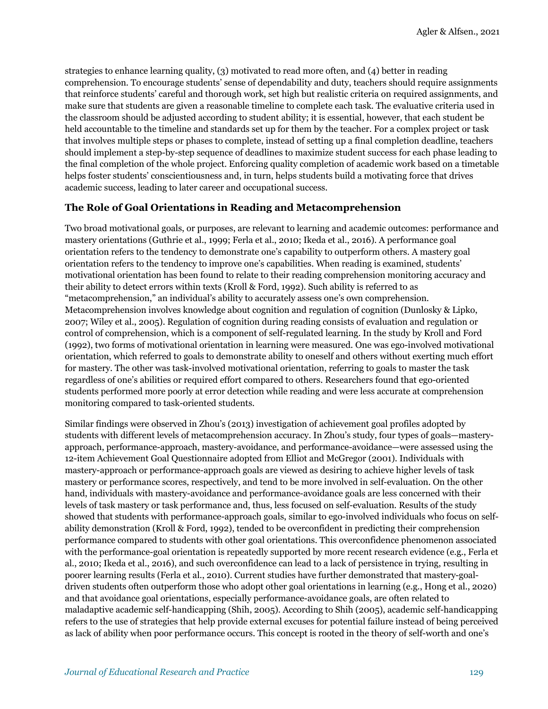strategies to enhance learning quality, (3) motivated to read more often, and (4) better in reading comprehension. To encourage students' sense of dependability and duty, teachers should require assignments that reinforce students' careful and thorough work, set high but realistic criteria on required assignments, and make sure that students are given a reasonable timeline to complete each task. The evaluative criteria used in the classroom should be adjusted according to student ability; it is essential, however, that each student be held accountable to the timeline and standards set up for them by the teacher. For a complex project or task that involves multiple steps or phases to complete, instead of setting up a final completion deadline, teachers should implement a step-by-step sequence of deadlines to maximize student success for each phase leading to the final completion of the whole project. Enforcing quality completion of academic work based on a timetable helps foster students' conscientiousness and, in turn, helps students build a motivating force that drives academic success, leading to later career and occupational success.

#### **The Role of Goal Orientations in Reading and Metacomprehension**

Two broad motivational goals, or purposes, are relevant to learning and academic outcomes: performance and mastery orientations (Guthrie et al., 1999; Ferla et al., 2010; Ikeda et al., 2016). A performance goal orientation refers to the tendency to demonstrate one's capability to outperform others. A mastery goal orientation refers to the tendency to improve one's capabilities. When reading is examined, students' motivational orientation has been found to relate to their reading comprehension monitoring accuracy and their ability to detect errors within texts (Kroll & Ford, 1992). Such ability is referred to as "metacomprehension," an individual's ability to accurately assess one's own comprehension. Metacomprehension involves knowledge about cognition and regulation of cognition (Dunlosky & Lipko, 2007; Wiley et al., 2005). Regulation of cognition during reading consists of evaluation and regulation or control of comprehension, which is a component of self-regulated learning. In the study by Kroll and Ford (1992), two forms of motivational orientation in learning were measured. One was ego-involved motivational orientation, which referred to goals to demonstrate ability to oneself and others without exerting much effort for mastery. The other was task-involved motivational orientation, referring to goals to master the task regardless of one's abilities or required effort compared to others. Researchers found that ego-oriented students performed more poorly at error detection while reading and were less accurate at comprehension monitoring compared to task-oriented students.

Similar findings were observed in Zhou's (2013) investigation of achievement goal profiles adopted by students with different levels of metacomprehension accuracy. In Zhou's study, four types of goals—masteryapproach, performance-approach, mastery-avoidance, and performance-avoidance—were assessed using the 12-item Achievement Goal Questionnaire adopted from Elliot and McGregor (2001). Individuals with mastery-approach or performance-approach goals are viewed as desiring to achieve higher levels of task mastery or performance scores, respectively, and tend to be more involved in self-evaluation. On the other hand, individuals with mastery-avoidance and performance-avoidance goals are less concerned with their levels of task mastery or task performance and, thus, less focused on self-evaluation. Results of the study showed that students with performance-approach goals, similar to ego-involved individuals who focus on selfability demonstration (Kroll & Ford, 1992), tended to be overconfident in predicting their comprehension performance compared to students with other goal orientations. This overconfidence phenomenon associated with the performance-goal orientation is repeatedly supported by more recent research evidence (e.g., Ferla et al., 2010; Ikeda et al., 2016), and such overconfidence can lead to a lack of persistence in trying, resulting in poorer learning results (Ferla et al., 2010). Current studies have further demonstrated that mastery-goaldriven students often outperform those who adopt other goal orientations in learning (e.g., Hong et al., 2020) and that avoidance goal orientations, especially performance-avoidance goals, are often related to maladaptive academic self-handicapping (Shih, 2005). According to Shih (2005), academic self-handicapping refers to the use of strategies that help provide external excuses for potential failure instead of being perceived as lack of ability when poor performance occurs. This concept is rooted in the theory of self-worth and one's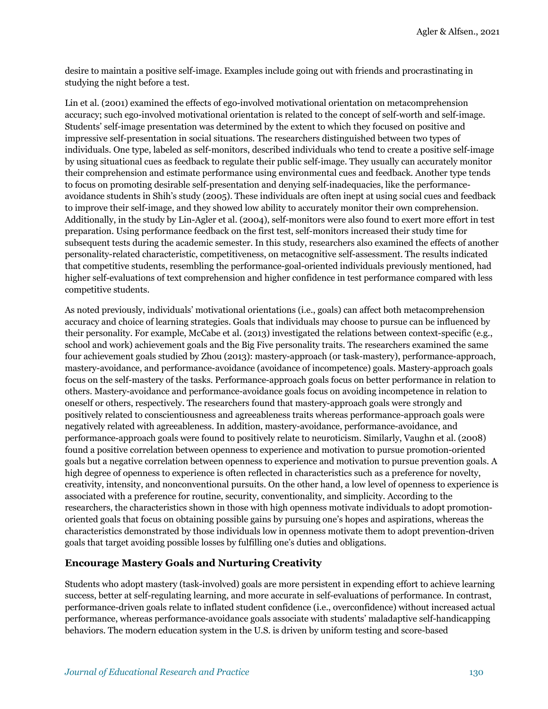desire to maintain a positive self-image. Examples include going out with friends and procrastinating in studying the night before a test.

Lin et al. (2001) examined the effects of ego-involved motivational orientation on metacomprehension accuracy; such ego-involved motivational orientation is related to the concept of self-worth and self-image. Students' self-image presentation was determined by the extent to which they focused on positive and impressive self-presentation in social situations. The researchers distinguished between two types of individuals. One type, labeled as self-monitors, described individuals who tend to create a positive self-image by using situational cues as feedback to regulate their public self-image. They usually can accurately monitor their comprehension and estimate performance using environmental cues and feedback. Another type tends to focus on promoting desirable self-presentation and denying self-inadequacies, like the performanceavoidance students in Shih's study (2005). These individuals are often inept at using social cues and feedback to improve their self-image, and they showed low ability to accurately monitor their own comprehension. Additionally, in the study by Lin-Agler et al. (2004), self-monitors were also found to exert more effort in test preparation. Using performance feedback on the first test, self-monitors increased their study time for subsequent tests during the academic semester. In this study, researchers also examined the effects of another personality-related characteristic, competitiveness, on metacognitive self-assessment. The results indicated that competitive students, resembling the performance-goal-oriented individuals previously mentioned, had higher self-evaluations of text comprehension and higher confidence in test performance compared with less competitive students.

As noted previously, individuals' motivational orientations (i.e., goals) can affect both metacomprehension accuracy and choice of learning strategies. Goals that individuals may choose to pursue can be influenced by their personality. For example, McCabe et al. (2013) investigated the relations between context-specific (e.g., school and work) achievement goals and the Big Five personality traits. The researchers examined the same four achievement goals studied by Zhou (2013): mastery-approach (or task-mastery), performance-approach, mastery-avoidance, and performance-avoidance (avoidance of incompetence) goals. Mastery-approach goals focus on the self-mastery of the tasks. Performance-approach goals focus on better performance in relation to others. Mastery-avoidance and performance-avoidance goals focus on avoiding incompetence in relation to oneself or others, respectively. The researchers found that mastery-approach goals were strongly and positively related to conscientiousness and agreeableness traits whereas performance-approach goals were negatively related with agreeableness. In addition, mastery-avoidance, performance-avoidance, and performance-approach goals were found to positively relate to neuroticism. Similarly, Vaughn et al. (2008) found a positive correlation between openness to experience and motivation to pursue promotion-oriented goals but a negative correlation between openness to experience and motivation to pursue prevention goals. A high degree of openness to experience is often reflected in characteristics such as a preference for novelty, creativity, intensity, and nonconventional pursuits. On the other hand, a low level of openness to experience is associated with a preference for routine, security, conventionality, and simplicity. According to the researchers, the characteristics shown in those with high openness motivate individuals to adopt promotionoriented goals that focus on obtaining possible gains by pursuing one's hopes and aspirations, whereas the characteristics demonstrated by those individuals low in openness motivate them to adopt prevention-driven goals that target avoiding possible losses by fulfilling one's duties and obligations.

#### **Encourage Mastery Goals and Nurturing Creativity**

Students who adopt mastery (task-involved) goals are more persistent in expending effort to achieve learning success, better at self-regulating learning, and more accurate in self-evaluations of performance. In contrast, performance-driven goals relate to inflated student confidence (i.e., overconfidence) without increased actual performance, whereas performance-avoidance goals associate with students' maladaptive self-handicapping behaviors. The modern education system in the U.S. is driven by uniform testing and score-based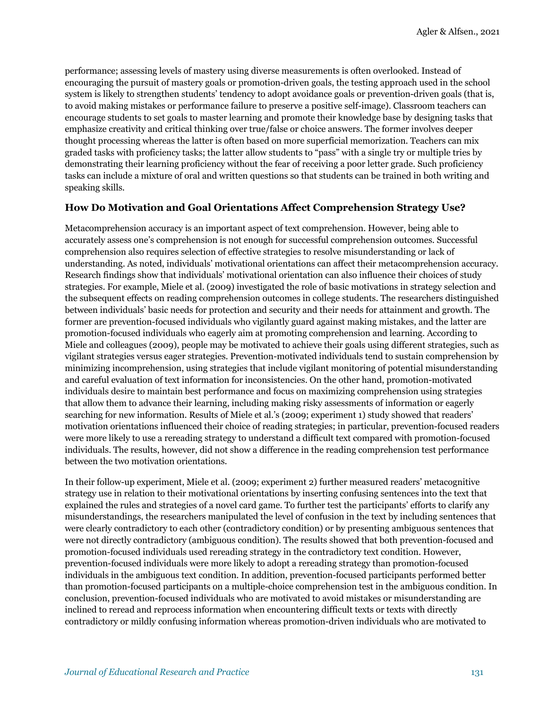performance; assessing levels of mastery using diverse measurements is often overlooked. Instead of encouraging the pursuit of mastery goals or promotion-driven goals, the testing approach used in the school system is likely to strengthen students' tendency to adopt avoidance goals or prevention-driven goals (that is, to avoid making mistakes or performance failure to preserve a positive self-image). Classroom teachers can encourage students to set goals to master learning and promote their knowledge base by designing tasks that emphasize creativity and critical thinking over true/false or choice answers. The former involves deeper thought processing whereas the latter is often based on more superficial memorization. Teachers can mix graded tasks with proficiency tasks; the latter allow students to "pass" with a single try or multiple tries by demonstrating their learning proficiency without the fear of receiving a poor letter grade. Such proficiency tasks can include a mixture of oral and written questions so that students can be trained in both writing and speaking skills.

#### **How Do Motivation and Goal Orientations Affect Comprehension Strategy Use?**

Metacomprehension accuracy is an important aspect of text comprehension. However, being able to accurately assess one's comprehension is not enough for successful comprehension outcomes. Successful comprehension also requires selection of effective strategies to resolve misunderstanding or lack of understanding. As noted, individuals' motivational orientations can affect their metacomprehension accuracy. Research findings show that individuals' motivational orientation can also influence their choices of study strategies. For example, Miele et al. (2009) investigated the role of basic motivations in strategy selection and the subsequent effects on reading comprehension outcomes in college students. The researchers distinguished between individuals' basic needs for protection and security and their needs for attainment and growth. The former are prevention-focused individuals who vigilantly guard against making mistakes, and the latter are promotion-focused individuals who eagerly aim at promoting comprehension and learning. According to Miele and colleagues (2009), people may be motivated to achieve their goals using different strategies, such as vigilant strategies versus eager strategies. Prevention*-*motivated individuals tend to sustain comprehension by minimizing incomprehension, using strategies that include vigilant monitoring of potential misunderstanding and careful evaluation of text information for inconsistencies. On the other hand, promotion-motivated individuals desire to maintain best performance and focus on maximizing comprehension using strategies that allow them to advance their learning, including making risky assessments of information or eagerly searching for new information. Results of Miele et al.'s (2009; experiment 1) study showed that readers' motivation orientations influenced their choice of reading strategies; in particular, prevention-focused readers were more likely to use a rereading strategy to understand a difficult text compared with promotion-focused individuals. The results, however, did not show a difference in the reading comprehension test performance between the two motivation orientations.

In their follow-up experiment, Miele et al. (2009; experiment 2) further measured readers' metacognitive strategy use in relation to their motivational orientations by inserting confusing sentences into the text that explained the rules and strategies of a novel card game. To further test the participants' efforts to clarify any misunderstandings, the researchers manipulated the level of confusion in the text by including sentences that were clearly contradictory to each other (contradictory condition) or by presenting ambiguous sentences that were not directly contradictory (ambiguous condition). The results showed that both prevention-focused and promotion-focused individuals used rereading strategy in the contradictory text condition. However, prevention-focused individuals were more likely to adopt a rereading strategy than promotion-focused individuals in the ambiguous text condition. In addition, prevention-focused participants performed better than promotion-focused participants on a multiple-choice comprehension test in the ambiguous condition. In conclusion, prevention-focused individuals who are motivated to avoid mistakes or misunderstanding are inclined to reread and reprocess information when encountering difficult texts or texts with directly contradictory or mildly confusing information whereas promotion-driven individuals who are motivated to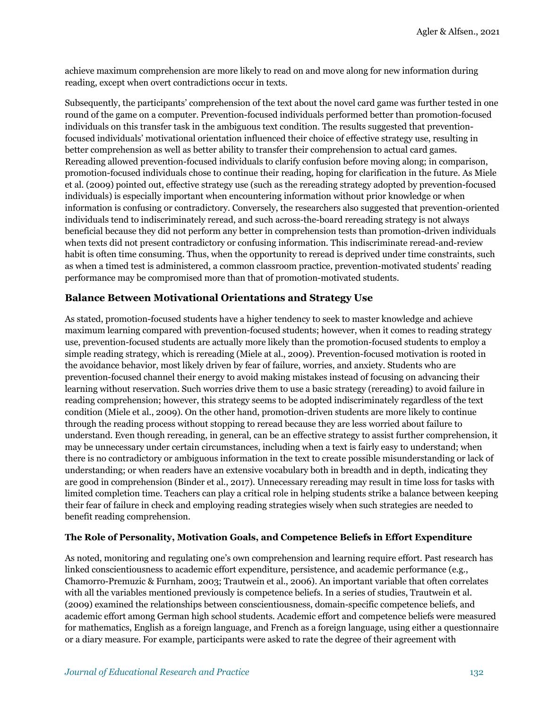achieve maximum comprehension are more likely to read on and move along for new information during reading, except when overt contradictions occur in texts.

Subsequently, the participants' comprehension of the text about the novel card game was further tested in one round of the game on a computer. Prevention-focused individuals performed better than promotion-focused individuals on this transfer task in the ambiguous text condition. The results suggested that preventionfocused individuals' motivational orientation influenced their choice of effective strategy use, resulting in better comprehension as well as better ability to transfer their comprehension to actual card games. Rereading allowed prevention-focused individuals to clarify confusion before moving along; in comparison, promotion-focused individuals chose to continue their reading, hoping for clarification in the future. As Miele et al. (2009) pointed out, effective strategy use (such as the rereading strategy adopted by prevention-focused individuals) is especially important when encountering information without prior knowledge or when information is confusing or contradictory. Conversely, the researchers also suggested that prevention-oriented individuals tend to indiscriminately reread, and such across-the-board rereading strategy is not always beneficial because they did not perform any better in comprehension tests than promotion-driven individuals when texts did not present contradictory or confusing information. This indiscriminate reread-and-review habit is often time consuming. Thus, when the opportunity to reread is deprived under time constraints, such as when a timed test is administered, a common classroom practice, prevention-motivated students' reading performance may be compromised more than that of promotion-motivated students.

#### **Balance Between Motivational Orientations and Strategy Use**

As stated, promotion-focused students have a higher tendency to seek to master knowledge and achieve maximum learning compared with prevention-focused students; however, when it comes to reading strategy use, prevention-focused students are actually more likely than the promotion-focused students to employ a simple reading strategy, which is rereading (Miele at al., 2009). Prevention-focused motivation is rooted in the avoidance behavior, most likely driven by fear of failure, worries, and anxiety. Students who are prevention-focused channel their energy to avoid making mistakes instead of focusing on advancing their learning without reservation. Such worries drive them to use a basic strategy (rereading) to avoid failure in reading comprehension; however, this strategy seems to be adopted indiscriminately regardless of the text condition (Miele et al., 2009). On the other hand, promotion-driven students are more likely to continue through the reading process without stopping to reread because they are less worried about failure to understand. Even though rereading, in general, can be an effective strategy to assist further comprehension, it may be unnecessary under certain circumstances, including when a text is fairly easy to understand; when there is no contradictory or ambiguous information in the text to create possible misunderstanding or lack of understanding; or when readers have an extensive vocabulary both in breadth and in depth, indicating they are good in comprehension (Binder et al., 2017). Unnecessary rereading may result in time loss for tasks with limited completion time. Teachers can play a critical role in helping students strike a balance between keeping their fear of failure in check and employing reading strategies wisely when such strategies are needed to benefit reading comprehension.

#### **The Role of Personality, Motivation Goals, and Competence Beliefs in Effort Expenditure**

As noted, monitoring and regulating one's own comprehension and learning require effort. Past research has linked conscientiousness to academic effort expenditure, persistence, and academic performance (e.g., Chamorro-Premuzic & Furnham, 2003; Trautwein et al., 2006). An important variable that often correlates with all the variables mentioned previously is competence beliefs. In a series of studies, Trautwein et al. (2009) examined the relationships between conscientiousness, domain-specific competence beliefs, and academic effort among German high school students. Academic effort and competence beliefs were measured for mathematics, English as a foreign language, and French as a foreign language, using either a questionnaire or a diary measure. For example, participants were asked to rate the degree of their agreement with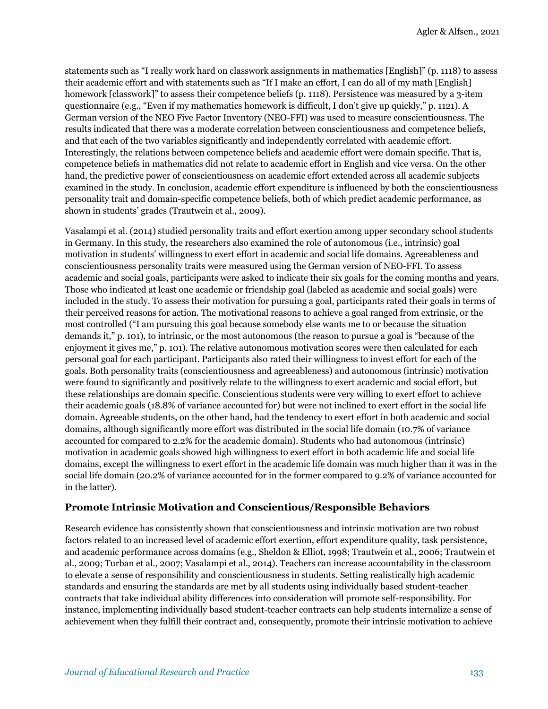statements such as "I really work hard on classwork assignments in mathematics [English]" (p. 1118) to assess their academic effort and with statements such as "If I make an effort, I can do all of my math [English] homework [classwork]" to assess their competence beliefs (p. 1118). Persistence was measured by a 3-item questionnaire (e.g., "Even if my mathematics homework is difficult, I don't give up quickly," p. 1121). A German version of the NEO Five Factor Inventory (NEO-FFI) was used to measure conscientiousness. The results indicated that there was a moderate correlation between conscientiousness and competence beliefs, and that each of the two variables significantly and independently correlated with academic effort. Interestingly, the relations between competence beliefs and academic effort were domain specific. That is, competence beliefs in mathematics did not relate to academic effort in English and vice versa. On the other hand, the predictive power of conscientiousness on academic effort extended across all academic subjects examined in the study. In conclusion, academic effort expenditure is influenced by both the conscientiousness personality trait and domain-specific competence beliefs, both of which predict academic performance, as shown in students' grades (Trautwein et al., 2009).

Vasalampi et al. (2014) studied personality traits and effort exertion among upper secondary school students in Germany. In this study, the researchers also examined the role of autonomous (i.e., intrinsic) goal motivation in students' willingness to exert effort in academic and social life domains. Agreeableness and conscientiousness personality traits were measured using the German version of NEO-FFI. To assess academic and social goals, participants were asked to indicate their six goals for the coming months and years. Those who indicated at least one academic or friendship goal (labeled as academic and social goals) were included in the study. To assess their motivation for pursuing a goal, participants rated their goals in terms of their perceived reasons for action. The motivational reasons to achieve a goal ranged from extrinsic, or the most controlled ("I am pursuing this goal because somebody else wants me to or because the situation demands it," p. 101), to intrinsic, or the most autonomous (the reason to pursue a goal is "because of the enjoyment it gives me," p. 101). The relative autonomous motivation scores were then calculated for each personal goal for each participant. Participants also rated their willingness to invest effort for each of the goals. Both personality traits (conscientiousness and agreeableness) and autonomous (intrinsic) motivation were found to significantly and positively relate to the willingness to exert academic and social effort, but these relationships are domain specific. Conscientious students were very willing to exert effort to achieve their academic goals (18.8% of variance accounted for) but were not inclined to exert effort in the social life domain. Agreeable students, on the other hand, had the tendency to exert effort in both academic and social domains, although significantly more effort was distributed in the social life domain (10.7% of variance accounted for compared to 2.2% for the academic domain). Students who had autonomous (intrinsic) motivation in academic goals showed high willingness to exert effort in both academic life and social life domains, except the willingness to exert effort in the academic life domain was much higher than it was in the social life domain (20.2% of variance accounted for in the former compared to 9.2% of variance accounted for in the latter).

#### **Promote Intrinsic Motivation and Conscientious/Responsible Behaviors**

Research evidence has consistently shown that conscientiousness and intrinsic motivation are two robust factors related to an increased level of academic effort exertion, effort expenditure quality, task persistence, and academic performance across domains (e.g., Sheldon & Elliot, 1998; Trautwein et al., 2006; Trautwein et al., 2009; Turban et al., 2007; Vasalampi et al., 2014). Teachers can increase accountability in the classroom to elevate a sense of responsibility and conscientiousness in students. Setting realistically high academic standards and ensuring the standards are met by all students using individually based student-teacher contracts that take individual ability differences into consideration will promote self-responsibility. For instance, implementing individually based student-teacher contracts can help students internalize a sense of achievement when they fulfill their contract and, consequently, promote their intrinsic motivation to achieve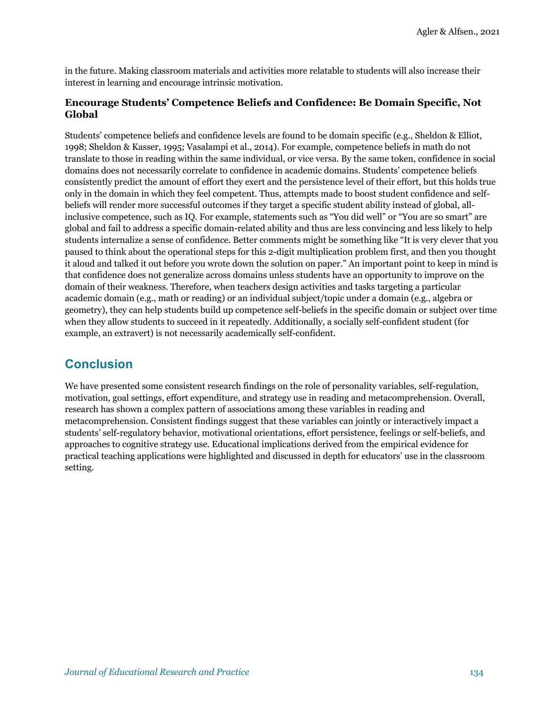in the future. Making classroom materials and activities more relatable to students will also increase their interest in learning and encourage intrinsic motivation.

#### **Encourage Students' Competence Beliefs and Confidence: Be Domain Specific, Not Global**

Students' competence beliefs and confidence levels are found to be domain specific (e.g., Sheldon & Elliot, 1998; Sheldon & Kasser, 1995; Vasalampi et al., 2014). For example, competence beliefs in math do not translate to those in reading within the same individual, or vice versa. By the same token, confidence in social domains does not necessarily correlate to confidence in academic domains. Students' competence beliefs consistently predict the amount of effort they exert and the persistence level of their effort, but this holds true only in the domain in which they feel competent. Thus, attempts made to boost student confidence and selfbeliefs will render more successful outcomes if they target a specific student ability instead of global, allinclusive competence, such as IQ. For example, statements such as "You did well" or "You are so smart" are global and fail to address a specific domain-related ability and thus are less convincing and less likely to help students internalize a sense of confidence. Better comments might be something like "It is very clever that you paused to think about the operational steps for this 2-digit multiplication problem first, and then you thought it aloud and talked it out before you wrote down the solution on paper." An important point to keep in mind is that confidence does not generalize across domains unless students have an opportunity to improve on the domain of their weakness. Therefore, when teachers design activities and tasks targeting a particular academic domain (e.g., math or reading) or an individual subject/topic under a domain (e.g., algebra or geometry), they can help students build up competence self-beliefs in the specific domain or subject over time when they allow students to succeed in it repeatedly. Additionally, a socially self-confident student (for example, an extravert) is not necessarily academically self-confident.

### **Conclusion**

We have presented some consistent research findings on the role of personality variables, self-regulation, motivation, goal settings, effort expenditure, and strategy use in reading and metacomprehension. Overall, research has shown a complex pattern of associations among these variables in reading and metacomprehension. Consistent findings suggest that these variables can jointly or interactively impact a students' self-regulatory behavior, motivational orientations, effort persistence, feelings or self-beliefs, and approaches to cognitive strategy use. Educational implications derived from the empirical evidence for practical teaching applications were highlighted and discussed in depth for educators' use in the classroom setting.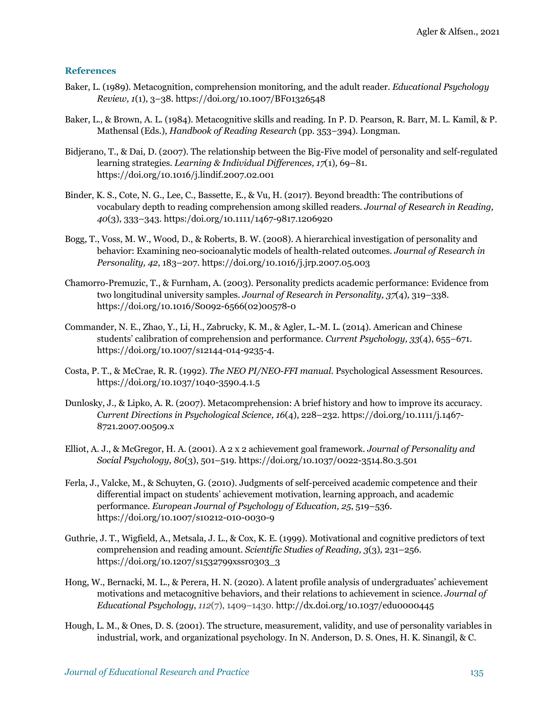#### **References**

- Baker, L. (1989). Metacognition, comprehension monitoring, and the adult reader. *Educational Psychology Review, 1*(1), 3–38. https://doi.org/10.1007/BF01326548
- Baker, L., & Brown, A. L. (1984). Metacognitive skills and reading. In P. D. Pearson, R. Barr, M. L. Kamil, & P. Mathensal (Eds.), *Handbook of Reading Research* (pp. 353–394). Longman.
- Bidjerano, T., & Dai, D. (2007). The relationship between the Big-Five model of personality and self-regulated learning strategies. *Learning & Individual Differences, 17*(1)*,* 69–81. https://doi.org/10.1016/j.lindif.2007.02.001
- Binder, K. S., Cote, N. G., Lee, C., Bassette, E., & Vu, H. (2017). Beyond breadth: The contributions of vocabulary depth to reading comprehension among skilled readers. *Journal of Research in Reading, 40*(3), 333–343. https:/doi.org/10.1111/1467-9817.1206920
- Bogg, T., Voss, M. W., Wood, D., & Roberts, B. W. (2008). A hierarchical investigation of personality and behavior: Examining neo-socioanalytic models of health-related outcomes. *Journal of Research in Personality, 42*, 183–207. https://doi.org/10.1016/j.jrp.2007.05.003
- Chamorro-Premuzic, T., & Furnham, A. (2003). Personality predicts academic performance: Evidence from two longitudinal university samples. *Journal of Research in Personality, 37*(4)*,* 319–338. https://doi.org/10.1016/S0092-6566(02)00578-0
- Commander, N. E., Zhao, Y., Li, H., Zabrucky, K. M., & Agler, L.-M. L. (2014). American and Chinese students' calibration of comprehension and performance. *Current Psychology, 33*(4), 655–671. https://doi.org/10.1007/s12144-014-9235-4.
- Costa, P. T., & McCrae, R. R. (1992). *The NEO PI/NEO-FFI manual.* Psychological Assessment Resources. https://doi.org/10.1037/1040-3590.4.1.5
- Dunlosky, J., & Lipko, A. R. (2007). Metacomprehension: A brief history and how to improve its accuracy. *Current Directions in Psychological Science, 16*(4), 228–232. https://doi.org/10.1111/j.1467- 8721.2007.00509.x
- Elliot, A. J., & McGregor, H. A. (2001). A 2 x 2 achievement goal framework. *Journal of Personality and Social Psychology, 80*(3), 501–519. https://doi.org/10.1037/0022-3514.80.3.501
- Ferla, J., Valcke, M., & Schuyten, G. (2010). Judgments of self-perceived academic competence and their differential impact on students' achievement motivation, learning approach, and academic performance. *European Journal of Psychology of Education, 25*, 519–536. https://doi.org/10.1007/s10212-010-0030-9
- Guthrie, J. T., Wigfield, A., Metsala, J. L., & Cox, K. E. (1999). Motivational and cognitive predictors of text comprehension and reading amount. *Scientific Studies of Reading, 3*(3)*,* 231–256. https://doi.org/10.1207/s1532799xssr0303\_3
- Hong, W., Bernacki, M. L., & Perera, H. N. (2020). A latent profile analysis of undergraduates' achievement motivations and metacognitive behaviors, and their relations to achievement in science. *Journal of Educational Psychology*, *112*(7), 1409–1430. http://dx.doi.org/10.1037/edu0000445
- Hough, L. M., & Ones, D. S. (2001). The structure, measurement, validity, and use of personality variables in industrial, work, and organizational psychology. In N. Anderson, D. S. Ones, H. K. Sinangil, & C.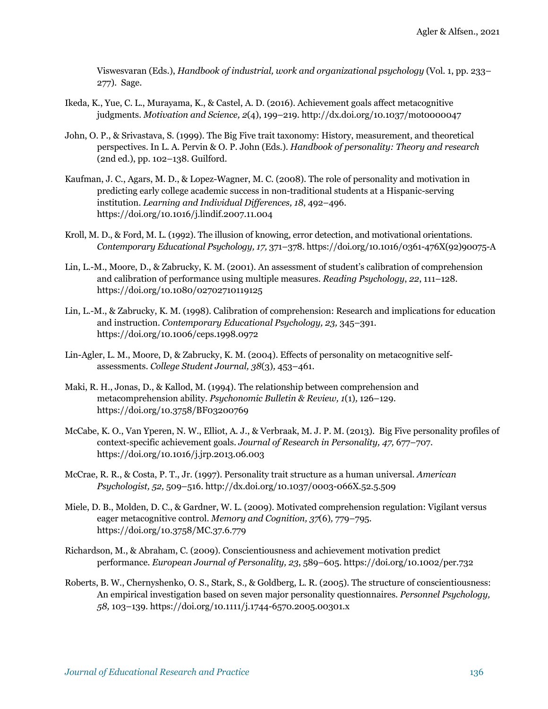Viswesvaran (Eds.), *Handbook of industrial, work and organizational psychology* (Vol. 1, pp. 233– 277). Sage.

- Ikeda, K., Yue, C. L., Murayama, K., & Castel, A. D. (2016). Achievement goals affect metacognitive judgments. *Motivation and Science, 2*(4), 199–219. http://dx.doi.org/10.1037/mot0000047
- John, O. P., & Srivastava, S. (1999). The Big Five trait taxonomy: History, measurement, and theoretical perspectives. In L. A. Pervin & O. P. John (Eds.). *Handbook of personality: Theory and research*  (2nd ed.), pp. 102–138. Guilford.
- Kaufman, J. C., Agars, M. D., & Lopez-Wagner, M. C. (2008). The role of personality and motivation in predicting early college academic success in non-traditional students at a Hispanic-serving institution. *Learning and Individual Differences, 18*, 492–496. https://doi.org/10.1016/j.lindif.2007.11.004
- Kroll, M. D., & Ford, M. L. (1992). The illusion of knowing, error detection, and motivational orientations. *Contemporary Educational Psychology, 17,* 371–378. https://doi.org/10.1016/0361-476X(92)90075-A
- Lin, L.-M., Moore, D., & Zabrucky, K. M. (2001). An assessment of student's calibration of comprehension and calibration of performance using multiple measures. *Reading Psychology*, *22*, 111–128. https://doi.org/10.1080/02702710119125
- Lin, L.-M., & Zabrucky, K. M. (1998). Calibration of comprehension: Research and implications for education and instruction. *Contemporary Educational Psychology, 23,* 345–391. https://doi.org/10.1006/ceps.1998.0972
- Lin-Agler, L. M., Moore, D, & Zabrucky, K. M. (2004). Effects of personality on metacognitive selfassessments. *College Student Journal, 38*(3)*,* 453–461.
- Maki, R. H., Jonas, D., & Kallod, M. (1994). The relationship between comprehension and metacomprehension ability. *Psychonomic Bulletin & Review, 1*(1)*,* 126–129. https://doi.org/10.3758/BF03200769
- McCabe, K. O., Van Yperen, N. W., Elliot, A. J., & Verbraak, M. J. P. M. (2013). Big Five personality profiles of context-specific achievement goals. *Journal of Research in Personality, 47,* 677–707. https://doi.org/10.1016/j.jrp.2013.06.003
- McCrae, R. R., & Costa, P. T., Jr. (1997). Personality trait structure as a human universal. *American Psychologist, 52,* 509–516. http://dx.doi.org/10.1037/0003-066X.52.5.509
- Miele, D. B., Molden, D. C., & Gardner, W. L. (2009). Motivated comprehension regulation: Vigilant versus eager metacognitive control. *Memory and Cognition, 37*(6)*,* 779–795. https://doi.org/10.3758/MC.37.6.779
- Richardson, M., & Abraham, C. (2009). Conscientiousness and achievement motivation predict performance. *European Journal of Personality, 23*, 589–605. https://doi.org/10.1002/per.732
- Roberts, B. W., Chernyshenko, O. S., Stark, S., & Goldberg, L. R. (2005). The structure of conscientiousness: An empirical investigation based on seven major personality questionnaires. *Personnel Psychology, 58,* 103–139. https://doi.org/10.1111/j.1744-6570.2005.00301.x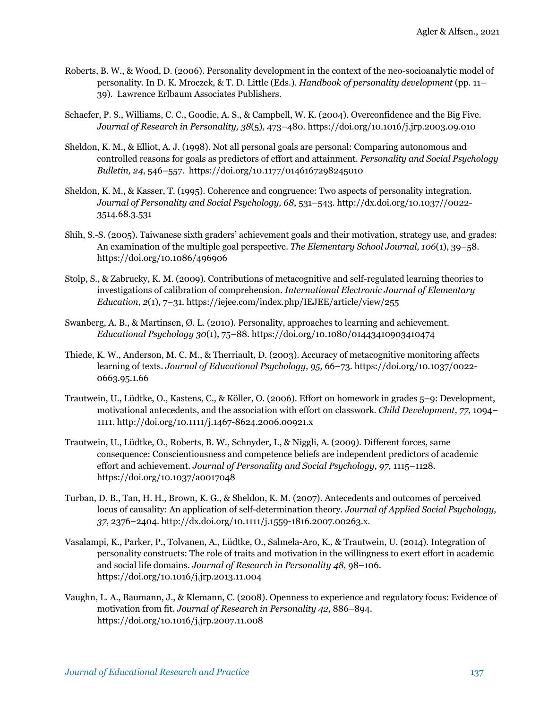- Roberts, B. W., & Wood, D. (2006). Personality development in the context of the neo-socioanalytic model of personality. In D. K. Mroczek, & T. D. Little (Eds.). *Handbook of personality development* (pp. 11– 39). Lawrence Erlbaum Associates Publishers.
- Schaefer, P. S., Williams, C. C., Goodie, A. S., & Campbell, W. K. (2004). Overconfidence and the Big Five. *Journal of Research in Personality, 38*(5)*,* 473–480. https://doi.org/10.1016/j.jrp.2003.09.010
- Sheldon, K. M., & Elliot, A. J. (1998). Not all personal goals are personal: Comparing autonomous and controlled reasons for goals as predictors of effort and attainment. *Personality and Social Psychology Bulletin, 24*, 546–557. https://doi.org/10.1177/0146167298245010
- Sheldon, K. M., & Kasser, T. (1995). Coherence and congruence: Two aspects of personality integration. *Journal of Personality and Social Psychology, 68*, 531–543. http://dx.doi.org/10.1037//0022- 3514.68.3.531
- Shih, S.-S. (2005). Taiwanese sixth graders' achievement goals and their motivation, strategy use, and grades: An examination of the multiple goal perspective. *The Elementary School Journal, 106*(1), 39–58. https://doi.org/10.1086/496906
- Stolp, S., & Zabrucky, K. M. (2009). Contributions of metacognitive and self-regulated learning theories to investigations of calibration of comprehension. *International Electronic Journal of Elementary Education, 2*(1)*,* 7–31. https://iejee.com/index.php/IEJEE/article/view/255
- Swanberg, A. B., & Martinsen, Ø. L. (2010). Personality, approaches to learning and achievement. *Educational Psychology 30*(1), 75–88. https://doi.org/10.1080/01443410903410474
- Thiede, K. W., Anderson, M. C. M., & Therriault, D. (2003). Accuracy of metacognitive monitoring affects learning of texts. *Journal of Educational Psychology, 95,* 66–73. https://doi.org/10.1037/0022- 0663.95.1.66
- Trautwein, U., Lüdtke, O., Kastens, C., & Köller, O. (2006). Effort on homework in grades 5–9: Development, motivational antecedents, and the association with effort on classwork. *Child Development, 77*, 1094– 1111. http://doi.org/10.1111/j.1467-8624.2006.00921.x
- Trautwein, U., Lüdtke, O., Roberts, B. W., Schnyder, I., & Niggli, A. (2009). Different forces, same consequence: Conscientiousness and competence beliefs are independent predictors of academic effort and achievement. *Journal of Personality and Social Psychology, 97,* 1115–1128. https://doi.org/10.1037/a0017048
- Turban, D. B., Tan, H. H., Brown, K. G., & Sheldon, K. M. (2007). Antecedents and outcomes of perceived locus of causality: An application of self-determination theory. *Journal of Applied Social Psychology, 37*, 2376–2404. http://dx.doi.org/10.1111/j.1559-1816.2007.00263.x.
- Vasalampi, K., Parker, P., Tolvanen, A., Lüdtke, O., Salmela-Aro, K., & Trautwein, U. (2014). Integration of personality constructs: The role of traits and motivation in the willingness to exert effort in academic and social life domains. *Journal of Research in Personality 48,* 98–106. https://doi.org/10.1016/j.jrp.2013.11.004
- Vaughn, L. A., Baumann, J., & Klemann, C. (2008). Openness to experience and regulatory focus: Evidence of motivation from fit. *Journal of Research in Personality 42,* 886–894. https://doi.org/10.1016/j.jrp.2007.11.008